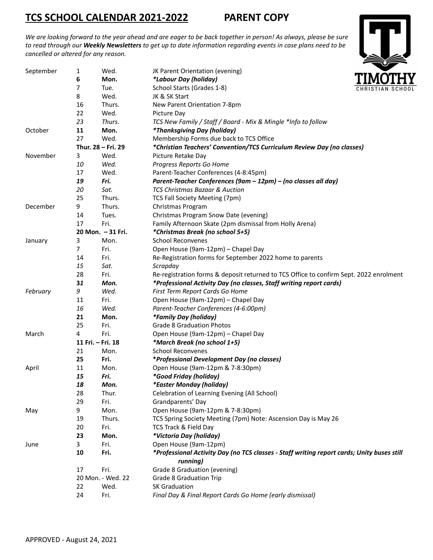# **TCS SCHOOL CALENDAR 2021-2022 PARENT COPY**

We are looking forward to the year ahead and are eager to be back together in person! As always, please be sure to read through our Weekly Newsletters to get up to date information regarding events in case plans need to be *cancelled or altered for any reason.*

| September | 1                  | Wed.              | JK Parent Orientation (evening)                                                                        |  |
|-----------|--------------------|-------------------|--------------------------------------------------------------------------------------------------------|--|
|           | 6                  | Mon.              | *Labour Day (holiday)                                                                                  |  |
|           | 7                  | Tue.              | School Starts (Grades 1-8)                                                                             |  |
|           | 8                  | Wed.              | JK & SK Start                                                                                          |  |
|           | 16                 | Thurs.            | New Parent Orientation 7-8pm                                                                           |  |
|           | 22                 | Wed.              | Picture Day                                                                                            |  |
|           | 23                 | Thurs.            | TCS New Family / Staff / Board - Mix & Mingle *Info to follow                                          |  |
| October   | 11                 | Mon.              | <i>*Thanksgiving Day (holiday)</i>                                                                     |  |
|           | 27                 | Wed.              | Membership Forms due back to TCS Office                                                                |  |
|           | Thur. 28 - Fri. 29 |                   | *Christian Teachers' Convention/TCS Curriculum Review Day (no classes)                                 |  |
| November  | 3                  | Wed.              | Picture Retake Day                                                                                     |  |
|           | 10                 | Wed.              | Progress Reports Go Home                                                                               |  |
|           | 17                 | Wed.              | Parent-Teacher Conferences (4-8:45pm)                                                                  |  |
|           | 19                 | Fri.              | Parent-Teacher Conferences (9am - 12pm) - (no classes all day)                                         |  |
|           | 20                 | Sat.              | <b>TCS Christmas Bazaar &amp; Auction</b>                                                              |  |
|           | 25                 | Thurs.            | TCS Fall Society Meeting (7pm)                                                                         |  |
| December  | 9                  | Thurs.            | Christmas Program                                                                                      |  |
|           | 14                 | Tues.             | Christmas Program Snow Date (evening)                                                                  |  |
|           | 17                 | Fri.              | Family Afternoon Skate (2pm dismissal from Holly Arena)                                                |  |
|           | 20 Mon. - 31 Fri.  |                   | *Christmas Break (no school 5+5)                                                                       |  |
| January   | 3                  | Mon.              | <b>School Reconvenes</b>                                                                               |  |
|           | 7                  | Fri.              | Open House (9am-12pm) - Chapel Day                                                                     |  |
|           | 14                 | Fri.              | Re-Registration forms for September 2022 home to parents                                               |  |
|           | 15                 | Sat.              | Scrapday                                                                                               |  |
|           | 28                 | Fri.              | Re-registration forms & deposit returned to TCS Office to confirm Sept. 2022 enrolment                 |  |
|           | 31                 | Mon.              | *Professional Activity Day (no classes, Staff writing report cards)                                    |  |
| February  | 9                  | Wed.              | First Term Report Cards Go Home                                                                        |  |
|           | 11                 | Fri.              | Open House (9am-12pm) - Chapel Day                                                                     |  |
|           | 16                 | Wed.              | Parent-Teacher Conferences (4-6:00pm)                                                                  |  |
|           | 21                 | Mon.              | *Family Day (holiday)                                                                                  |  |
|           | 25                 | Fri.              | <b>Grade 8 Graduation Photos</b>                                                                       |  |
| March     | 4                  | Fri.              | Open House (9am-12pm) - Chapel Day                                                                     |  |
|           |                    | 11 Fri. - Fri. 18 | *March Break (no school 1+5)                                                                           |  |
|           | 21                 | Mon.              | <b>School Reconvenes</b>                                                                               |  |
|           | 25                 | Fri.              | *Professional Development Day (no classes)                                                             |  |
| April     | 11                 | Mon.              | Open House (9am-12pm & 7-8:30pm)                                                                       |  |
|           | 15                 | Fri.              | <i>*Good Friday (holiday)</i>                                                                          |  |
|           | 18                 | Mon.              | *Easter Monday (holiday)                                                                               |  |
|           | 28                 | Thur.             | Celebration of Learning Evening (All School)                                                           |  |
|           | 29                 | Fri.              | Grandparents' Day                                                                                      |  |
| May       | 9                  | Mon.              | Open House (9am-12pm & 7-8:30pm)                                                                       |  |
|           | 19                 | Thurs.            | TCS Spring Society Meeting (7pm) Note: Ascension Day is May 26                                         |  |
|           | 20                 | Fri.              | TCS Track & Field Day                                                                                  |  |
|           | 23                 | Mon.              | *Victoria Day (holiday)                                                                                |  |
|           |                    | Fri.              | Open House (9am-12pm)                                                                                  |  |
| June      | 3                  |                   |                                                                                                        |  |
|           | 10                 | Fri.              | *Professional Activity Day (no TCS classes - Staff writing report cards; Unity buses still<br>running) |  |
|           | 17                 | Fri.              | Grade 8 Graduation (evening)                                                                           |  |
|           |                    | 20 Mon. - Wed. 22 | <b>Grade 8 Graduation Trip</b>                                                                         |  |
|           | 22                 | Wed.              | <b>SK Graduation</b>                                                                                   |  |
|           | 24                 | Fri.              | Final Day & Final Report Cards Go Home (early dismissal)                                               |  |